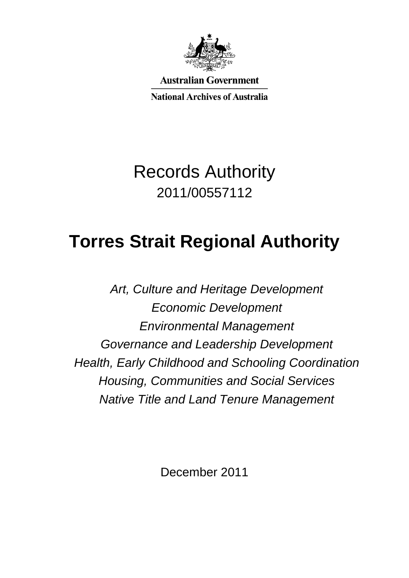

**Australian Government** 

**National Archives of Australia** 

Records Authority 2011/00557112

# **Torres Strait Regional Authority**

*Art, Culture and Heritage Development Economic Development Environmental Management Governance and Leadership Development Health, Early Childhood and Schooling Coordination Housing, Communities and Social Services Native Title and Land Tenure Management*

December 2011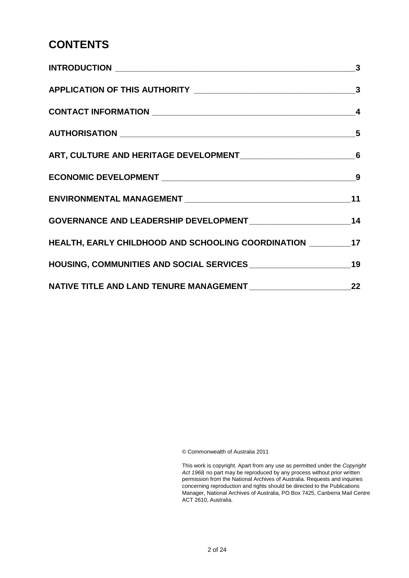#### **CONTENTS**

| HEALTH, EARLY CHILDHOOD AND SCHOOLING COORDINATION __________17 |  |
|-----------------------------------------------------------------|--|
|                                                                 |  |
|                                                                 |  |

© Commonwealth of Australia 2011

 This work is copyright. Apart from any use as permitted under the *Copyright Act 1968,* no part may be reproduced by any process without prior written permission from the National Archives of Australia. Requests and inquiries concerning reproduction and rights should be directed to the Publications Manager, National Archives of Australia, PO Box 7425, Canberra Mail Centre ACT 2610, Australia.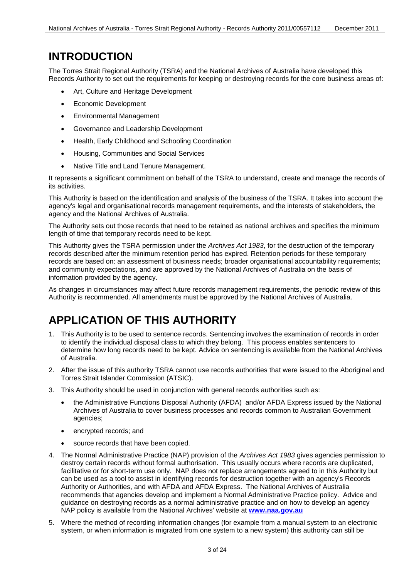#### **INTRODUCTION**

The Torres Strait Regional Authority (TSRA) and the National Archives of Australia have developed this Records Authority to set out the requirements for keeping or destroying records for the core business areas of:

- Art, Culture and Heritage Development
- Economic Development
- Environmental Management
- Governance and Leadership Development
- Health, Early Childhood and Schooling Coordination
- Housing, Communities and Social Services
- Native Title and Land Tenure Management.

 It represents a significant commitment on behalf of the TSRA to understand, create and manage the records of its activities.

 This Authority is based on the identification and analysis of the business of the TSRA. It takes into account the agency's legal and organisational records management requirements, and the interests of stakeholders, the agency and the National Archives of Australia.

The Authority sets out those records that need to be retained as national archives and specifies the minimum length of time that temporary records need to be kept.

 and community expectations, and are approved by the National Archives of Australia on the basis of information provided by the agency. This Authority gives the TSRA permission under the *Archives Act 1983*, for the destruction of the temporary records described after the minimum retention period has expired. Retention periods for these temporary records are based on: an assessment of business needs; broader organisational accountability requirements;

 Authority is recommended. All amendments must be approved by the National Archives of Australia. As changes in circumstances may affect future records management requirements, the periodic review of this

### **APPLICATION OF THIS AUTHORITY**

- 1. This Authority is to be used to sentence records. Sentencing involves the examination of records in order to identify the individual disposal class to which they belong. This process enables sentencers to determine how long records need to be kept. Advice on sentencing is available from the National Archives of Australia.
- 2. After the issue of this authority TSRA cannot use records authorities that were issued to the Aboriginal and Torres Strait Islander Commission (ATSIC).
- 3. This Authority should be used in conjunction with general records authorities such as:
	- the Administrative Functions Disposal Authority (AFDA) and/or AFDA Express issued by the National Archives of Australia to cover business processes and records common to Australian Government agencies;
	- encrypted records; and
	- source records that have been copied.
- facilitative or for short-term use only. NAP does not replace arrangements agreed to in this Authority but can be used as a tool to assist in identifying records for destruction together with an agency's Records Authority or Authorities, and with AFDA and AFDA Express. The National Archives of Australia guidance on destroying records as a normal administrative practice and on how to develop an agency NAP policy is available from the National Archives' website at **[www.naa.gov.au](http://www.naa.gov.au/)** 4. The Normal Administrative Practice (NAP) provision of the *Archives Act 1983* gives agencies permission to destroy certain records without formal authorisation. This usually occurs where records are duplicated, recommends that agencies develop and implement a Normal Administrative Practice policy. Advice and
- system, or when information is migrated from one system to a new system) this authority can still be 5. Where the method of recording information changes (for example from a manual system to an electronic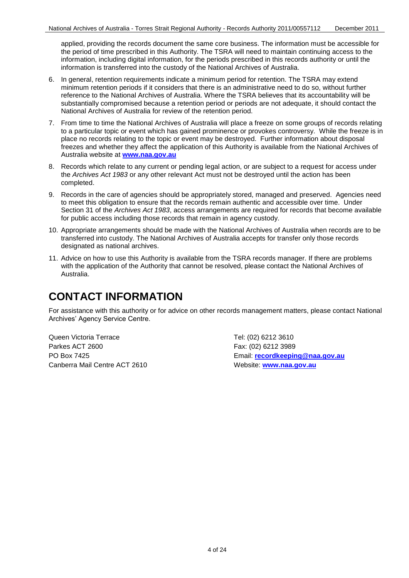applied, providing the records document the same core business. The information must be accessible for the period of time prescribed in this Authority. The TSRA will need to maintain continuing access to the information, including digital information, for the periods prescribed in this records authority or until the information is transferred into the custody of the National Archives of Australia.

- reference to the National Archives of Australia. Where the TSRA believes that its accountability will be substantially compromised because a retention period or periods are not adequate, it should contact the 6. In general, retention requirements indicate a minimum period for retention. The TSRA may extend minimum retention periods if it considers that there is an administrative need to do so, without further National Archives of Australia for review of the retention period.
- to a particular topic or event which has gained prominence or provokes controversy. While the freeze is in place no records relating to the topic or event may be destroyed. Further information about disposal freezes and whether they affect the application of this Authority is available from the National Archives of Australia website at **[www.naa.gov.au](http://www.naa.gov.au/)** 7. From time to time the National Archives of Australia will place a freeze on some groups of records relating
- 8. Records which relate to any current or pending legal action, or are subject to a request for access under the *Archives Act 1983* or any other relevant Act must not be destroyed until the action has been completed.
- 9. Records in the care of agencies should be appropriately stored, managed and preserved. Agencies need to meet this obligation to ensure that the records remain authentic and accessible over time. Under Section 31 of the *Archives Act 1983*, access arrangements are required for records that become available for public access including those records that remain in agency custody.
- 10. Appropriate arrangements should be made with the National Archives of Australia when records are to be transferred into custody. The National Archives of Australia accepts for transfer only those records designated as national archives.
- 11. Advice on how to use this Authority is available from the TSRA records manager. If there are problems with the application of the Authority that cannot be resolved, please contact the National Archives of Australia.

#### **CONTACT INFORMATION**

 Archives' Agency Service Centre. For assistance with this authority or for advice on other records management matters, please contact National

Queen Victoria Terrace Tel: (02) 6212 3610 Parkes ACT 2600 Fax: (02) 6212 3989 Canberra Mail Centre ACT 2610 Website: **[www.naa.gov.au](http://www.naa.gov.au/)** 

PO Box 7425 Email: **[recordkeeping@naa.gov.au](mailto:recordkeeping@naa.gov.au)**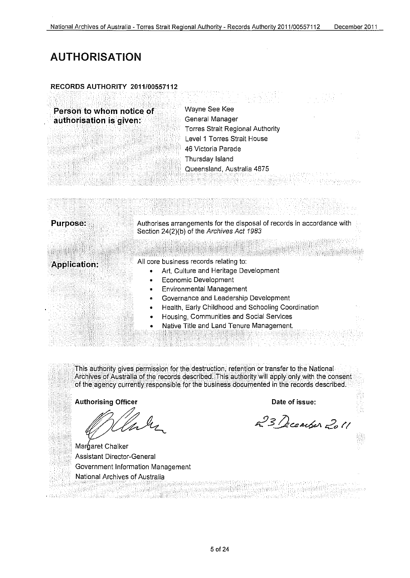and the second second second to the second second second second second second second second second second second second second second second second second second second second second second second second second second seco

# **AUTHORISATION**

#### **RECORDS AUTHORITY 2011/00557112**

| Person to whom notice of | Wayne See Kee                    |  |
|--------------------------|----------------------------------|--|
| authorisation is given:  | General Manager                  |  |
|                          | Torres Strait Regional Authority |  |
|                          | Level 1 Torres Strait House      |  |
|                          | 46 Victoria Parade               |  |
|                          | Thursday Island                  |  |
|                          | Queensland, Australia 4875       |  |
|                          |                                  |  |
|                          |                                  |  |

| <b>Purpose:</b>     | Authorises arrangements for the disposal of records in accordance with<br>Section 24(2)(b) of the Archives Act 1983 |  |
|---------------------|---------------------------------------------------------------------------------------------------------------------|--|
|                     |                                                                                                                     |  |
| <b>Application:</b> | All core business records relating to:                                                                              |  |
|                     | Art, Culture and Heritage Development                                                                               |  |
|                     | Economic Development<br>۰                                                                                           |  |
|                     | <b>Environmental Management</b><br>۰                                                                                |  |
|                     | Governance and Leadership Development<br>۰                                                                          |  |
|                     | Health, Early Childhood and Schooling Coordination<br>۰                                                             |  |
|                     | Housing, Communities and Social Services<br>۰                                                                       |  |
|                     | Native Title and Land Tenure Management.<br>۰                                                                       |  |
|                     |                                                                                                                     |  |

This authority gives permission for the destruction, retention or transfer to the National Archives of Australia of the records described. This authority will apply only with the consent of the agency currently responsible for the business documented in the records described.

Authorising Officer *Date of issue:* **Date of issue:** 

. manierialkano T. Labinik

Margaret Chalker<br>Assistant Director-General Government Information Management National Archives of Australia still begin

23 December 2011

*조*일 22일 3월 12일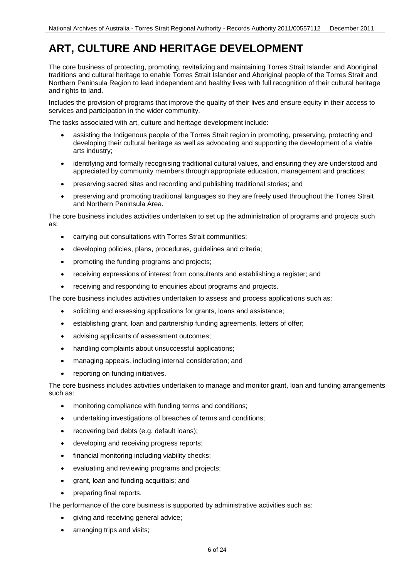# **ART, CULTURE AND HERITAGE DEVELOPMENT**

 Northern Peninsula Region to lead independent and healthy lives with full recognition of their cultural heritage The core business of protecting, promoting, revitalizing and maintaining Torres Strait Islander and Aboriginal traditions and cultural heritage to enable Torres Strait Islander and Aboriginal people of the Torres Strait and and rights to land.

 Includes the provision of programs that improve the quality of their lives and ensure equity in their access to services and participation in the wider community.

The tasks associated with art, culture and heritage development include:

- developing their cultural heritage as well as advocating and supporting the development of a viable assisting the Indigenous people of the Torres Strait region in promoting, preserving, protecting and arts industry;
- identifying and formally recognising traditional cultural values, and ensuring they are understood and appreciated by community members through appropriate education, management and practices;
- preserving sacred sites and recording and publishing traditional stories; and
- preserving and promoting traditional languages so they are freely used throughout the Torres Strait and Northern Peninsula Area.

The core business includes activities undertaken to set up the administration of programs and projects such as:

- carrying out consultations with Torres Strait communities;
- developing policies, plans, procedures, guidelines and criteria;
- promoting the funding programs and projects;
- receiving expressions of interest from consultants and establishing a register; and
- receiving and responding to enquiries about programs and projects.

The core business includes activities undertaken to assess and process applications such as:

- soliciting and assessing applications for grants, loans and assistance;
- establishing grant, loan and partnership funding agreements, letters of offer;
- advising applicants of assessment outcomes;
- handling complaints about unsuccessful applications;
- managing appeals, including internal consideration; and
- reporting on funding initiatives.

The core business includes activities undertaken to manage and monitor grant, loan and funding arrangements such as:

- monitoring compliance with funding terms and conditions;
- undertaking investigations of breaches of terms and conditions;
- recovering bad debts (e.g. default loans);
- developing and receiving progress reports;
- financial monitoring including viability checks;
- evaluating and reviewing programs and projects;
- grant, loan and funding acquittals; and
- preparing final reports.

The performance of the core business is supported by administrative activities such as:

- giving and receiving general advice;
- arranging trips and visits;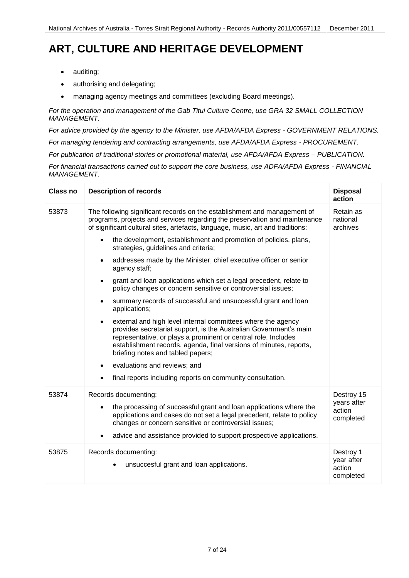# **ART, CULTURE AND HERITAGE DEVELOPMENT**

- $\bullet$ auditing;
- authorising and delegating;
- managing agency meetings and committees (excluding Board meetings).

 *For the operation and management of the Gab Titui Culture Centre, use GRA 32 SMALL COLLECTION MANAGEMENT.*

 *For advice provided by the agency to the Minister, use AFDA/AFDA Express - GOVERNMENT RELATIONS.*

 *For managing tendering and contracting arrangements, use AFDA/AFDA Express - PROCUREMENT.*

 *For publication of traditional stories or promotional material, use AFDA/AFDA Express – PUBLICATION.*

 *For financial transactions carried out to support the core business, use ADFA/AFDA Express - FINANCIAL MANAGEMENT.*

| Class no | <b>Description of records</b>                                                                                                                                                                                                                                                                                                                                                                                                                                                                                                                                                                                                                                                                                                                                                                       | <b>Disposal</b><br>action                      |
|----------|-----------------------------------------------------------------------------------------------------------------------------------------------------------------------------------------------------------------------------------------------------------------------------------------------------------------------------------------------------------------------------------------------------------------------------------------------------------------------------------------------------------------------------------------------------------------------------------------------------------------------------------------------------------------------------------------------------------------------------------------------------------------------------------------------------|------------------------------------------------|
| 53873    | The following significant records on the establishment and management of<br>programs, projects and services regarding the preservation and maintenance<br>of significant cultural sites, artefacts, language, music, art and traditions:<br>the development, establishment and promotion of policies, plans,<br>$\bullet$<br>strategies, guidelines and criteria;<br>addresses made by the Minister, chief executive officer or senior<br>$\bullet$<br>agency staff;<br>grant and loan applications which set a legal precedent, relate to<br>$\bullet$<br>policy changes or concern sensitive or controversial issues;<br>summary records of successful and unsuccessful grant and loan<br>$\bullet$<br>applications;<br>external and high level internal committees where the agency<br>$\bullet$ | Retain as<br>national<br>archives              |
|          | provides secretariat support, is the Australian Government's main<br>representative, or plays a prominent or central role. Includes<br>establishment records, agenda, final versions of minutes, reports,<br>briefing notes and tabled papers;<br>evaluations and reviews; and<br>final reports including reports on community consultation.                                                                                                                                                                                                                                                                                                                                                                                                                                                        |                                                |
| 53874    | Records documenting:                                                                                                                                                                                                                                                                                                                                                                                                                                                                                                                                                                                                                                                                                                                                                                                | Destroy 15                                     |
|          | the processing of successful grant and loan applications where the<br>$\bullet$<br>applications and cases do not set a legal precedent, relate to policy<br>changes or concern sensitive or controversial issues;<br>advice and assistance provided to support prospective applications.<br>$\bullet$                                                                                                                                                                                                                                                                                                                                                                                                                                                                                               | years after<br>action<br>completed             |
| 53875    | Records documenting:<br>unsuccesful grant and loan applications.                                                                                                                                                                                                                                                                                                                                                                                                                                                                                                                                                                                                                                                                                                                                    | Destroy 1<br>year after<br>action<br>completed |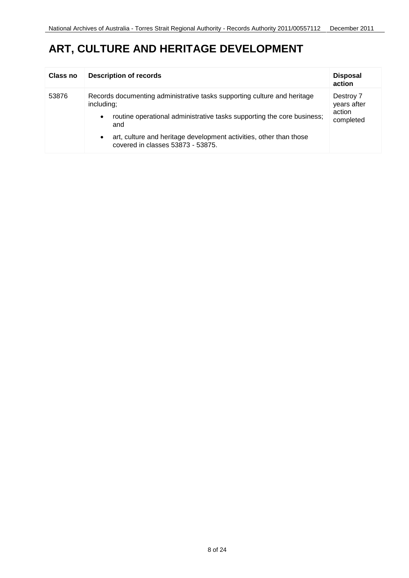## **ART, CULTURE AND HERITAGE DEVELOPMENT**

| Class no | <b>Description of records</b>                                                                                                                                                        | <b>Disposal</b><br>action                       |
|----------|--------------------------------------------------------------------------------------------------------------------------------------------------------------------------------------|-------------------------------------------------|
| 53876    | Records documenting administrative tasks supporting culture and heritage<br>including;<br>routine operational administrative tasks supporting the core business;<br>$\bullet$<br>and | Destroy 7<br>years after<br>action<br>completed |
|          | art, culture and heritage development activities, other than those<br>$\bullet$<br>covered in classes 53873 - 53875.                                                                 |                                                 |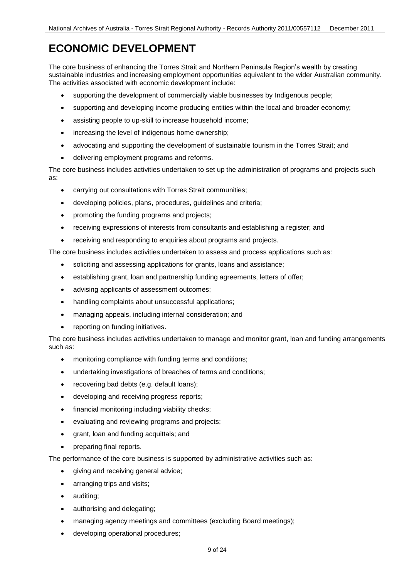## **ECONOMIC DEVELOPMENT**

 sustainable industries and increasing employment opportunities equivalent to the wider Australian community. The core business of enhancing the Torres Strait and Northern Peninsula Region's wealth by creating The activities associated with economic development include:

- supporting the development of commercially viable businesses by Indigenous people;
- supporting and developing income producing entities within the local and broader economy;
- $\bullet$ assisting people to up-skill to increase household income;
- increasing the level of indigenous home ownership;
- advocating and supporting the development of sustainable tourism in the Torres Strait; and
- delivering employment programs and reforms.

The core business includes activities undertaken to set up the administration of programs and projects such as:

- carrying out consultations with Torres Strait communities;
- developing policies, plans, procedures, guidelines and criteria;
- promoting the funding programs and projects;
- receiving expressions of interests from consultants and establishing a register; and
- receiving and responding to enquiries about programs and projects.

The core business includes activities undertaken to assess and process applications such as:

- soliciting and assessing applications for grants, loans and assistance;
- establishing grant, loan and partnership funding agreements, letters of offer;
- advising applicants of assessment outcomes;
- handling complaints about unsuccessful applications;
- managing appeals, including internal consideration; and
- reporting on funding initiatives.

The core business includes activities undertaken to manage and monitor grant, loan and funding arrangements such as:

- monitoring compliance with funding terms and conditions;
- undertaking investigations of breaches of terms and conditions;
- recovering bad debts (e.g. default loans);
- developing and receiving progress reports;
- financial monitoring including viability checks;
- evaluating and reviewing programs and projects;
- grant, loan and funding acquittals; and
- preparing final reports.

The performance of the core business is supported by administrative activities such as:

- giving and receiving general advice;
- arranging trips and visits;
- $\bullet$ auditing;
- authorising and delegating;
- managing agency meetings and committees (excluding Board meetings);
- developing operational procedures;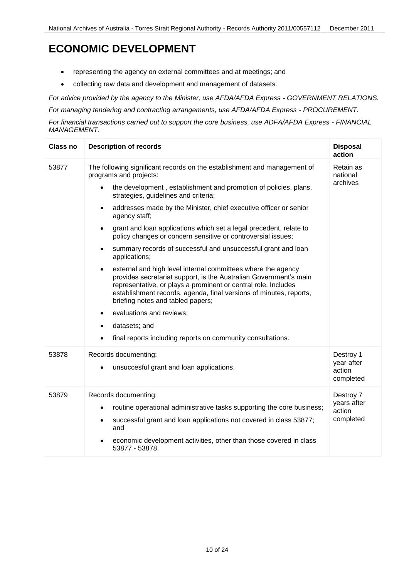# **ECONOMIC DEVELOPMENT**

- representing the agency on external committees and at meetings; and
- collecting raw data and development and management of datasets.

 *For advice provided by the agency to the Minister, use AFDA/AFDA Express - GOVERNMENT RELATIONS.* 

 *For managing tendering and contracting arrangements, use AFDA/AFDA Express - PROCUREMENT.* 

 *For financial transactions carried out to support the core business, use ADFA/AFDA Express - FINANCIAL MANAGEMENT.* 

| <b>Class no</b> | <b>Description of records</b>                                                                                                                                                                                                                                                                                                                                                                                                                                                                                                                                                                                                                                                                                                                                                                                                                                                                                                                                                                                                            | <b>Disposal</b><br>action                       |
|-----------------|------------------------------------------------------------------------------------------------------------------------------------------------------------------------------------------------------------------------------------------------------------------------------------------------------------------------------------------------------------------------------------------------------------------------------------------------------------------------------------------------------------------------------------------------------------------------------------------------------------------------------------------------------------------------------------------------------------------------------------------------------------------------------------------------------------------------------------------------------------------------------------------------------------------------------------------------------------------------------------------------------------------------------------------|-------------------------------------------------|
| 53877           | The following significant records on the establishment and management of<br>programs and projects:<br>the development, establishment and promotion of policies, plans,<br>$\bullet$<br>strategies, guidelines and criteria;<br>addresses made by the Minister, chief executive officer or senior<br>$\bullet$<br>agency staff;<br>grant and loan applications which set a legal precedent, relate to<br>$\bullet$<br>policy changes or concern sensitive or controversial issues;<br>summary records of successful and unsuccessful grant and loan<br>$\bullet$<br>applications;<br>external and high level internal committees where the agency<br>$\bullet$<br>provides secretariat support, is the Australian Government's main<br>representative, or plays a prominent or central role. Includes<br>establishment records, agenda, final versions of minutes, reports,<br>briefing notes and tabled papers;<br>evaluations and reviews;<br>$\bullet$<br>datasets; and<br>final reports including reports on community consultations. | Retain as<br>national<br>archives               |
| 53878           | Records documenting:<br>unsuccesful grant and loan applications.                                                                                                                                                                                                                                                                                                                                                                                                                                                                                                                                                                                                                                                                                                                                                                                                                                                                                                                                                                         | Destroy 1<br>year after<br>action<br>completed  |
| 53879           | Records documenting:<br>routine operational administrative tasks supporting the core business;<br>$\bullet$<br>successful grant and loan applications not covered in class 53877;<br>$\bullet$<br>and<br>economic development activities, other than those covered in class<br>53877 - 53878.                                                                                                                                                                                                                                                                                                                                                                                                                                                                                                                                                                                                                                                                                                                                            | Destroy 7<br>years after<br>action<br>completed |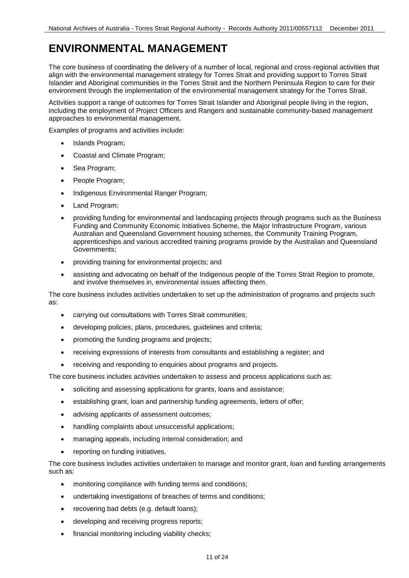# **ENVIRONMENTAL MANAGEMENT**

The core business of coordinating the delivery of a number of local, regional and cross-regional activities that align with the environmental management strategy for Torres Strait and providing support to Torres Strait Islander and Aboriginal communities in the Torres Strait and the Northern Peninsula Region to care for their environment through the implementation of the environmental management strategy for the Torres Strait.

Activities support a range of outcomes for Torres Strait Islander and Aboriginal people living in the region, including the employment of Project Officers and Rangers and sustainable community-based management approaches to environmental management.

Examples of programs and activities include:

- $\bullet$ Islands Program;
- Coastal and Climate Program;
- $\bullet$ Sea Program;
- People Program;
- Indigenous Environmental Ranger Program;
- Land Program;
- providing funding for environmental and landscaping projects through programs such as the Business Funding and Community Economic Initiatives Scheme, the Major Infrastructure Program, various Australian and Queensland Government housing schemes, the Community Training Program, apprenticeships and various accredited training programs provide by the Australian and Queensland Governments;
- providing training for environmental projects; and
- and involve themselves in, environmental issues affecting them. assisting and advocating on behalf of the Indigenous people of the Torres Strait Region to promote,

The core business includes activities undertaken to set up the administration of programs and projects such as:

- carrying out consultations with Torres Strait communities;
- developing policies, plans, procedures, guidelines and criteria;
- promoting the funding programs and projects;
- receiving expressions of interests from consultants and establishing a register; and
- receiving and responding to enquiries about programs and projects.

The core business includes activities undertaken to assess and process applications such as:

- soliciting and assessing applications for grants, loans and assistance;
- establishing grant, loan and partnership funding agreements, letters of offer;
- advising applicants of assessment outcomes;
- handling complaints about unsuccessful applications;
- managing appeals, including internal consideration; and
- reporting on funding initiatives.

The core business includes activities undertaken to manage and monitor grant, loan and funding arrangements such as:

- monitoring compliance with funding terms and conditions;
- undertaking investigations of breaches of terms and conditions;
- recovering bad debts (e.g. default loans);
- developing and receiving progress reports;
- financial monitoring including viability checks;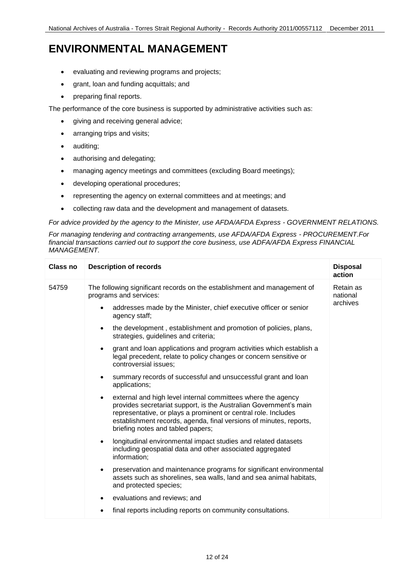### **ENVIRONMENTAL MANAGEMENT**

- evaluating and reviewing programs and projects;
- grant, loan and funding acquittals; and
- preparing final reports.

The performance of the core business is supported by administrative activities such as:

- giving and receiving general advice;
- arranging trips and visits;
- $\bullet$ auditing;
- authorising and delegating;
- managing agency meetings and committees (excluding Board meetings);
- developing operational procedures;
- representing the agency on external committees and at meetings; and
- collecting raw data and the development and management of datasets.

 *For advice provided by the agency to the Minister, use AFDA/AFDA Express - GOVERNMENT RELATIONS.* 

 *For managing tendering and contracting arrangements, use AFDA/AFDA Express - PROCUREMENT.For financial transactions carried out to support the core business, use ADFA/AFDA Express FINANCIAL MANAGEMENT.* 

| Class no | <b>Description of records</b>                                                                                                                                                                                                                                                                                                                                                                                                                                                                                                                                                                                                                                                                                                                                                                                                                                                                                                                                                                                                                                                                                                                                                                                                                                                                                                                                                                                     | <b>Disposal</b><br>action         |
|----------|-------------------------------------------------------------------------------------------------------------------------------------------------------------------------------------------------------------------------------------------------------------------------------------------------------------------------------------------------------------------------------------------------------------------------------------------------------------------------------------------------------------------------------------------------------------------------------------------------------------------------------------------------------------------------------------------------------------------------------------------------------------------------------------------------------------------------------------------------------------------------------------------------------------------------------------------------------------------------------------------------------------------------------------------------------------------------------------------------------------------------------------------------------------------------------------------------------------------------------------------------------------------------------------------------------------------------------------------------------------------------------------------------------------------|-----------------------------------|
| 54759    | The following significant records on the establishment and management of<br>programs and services:<br>addresses made by the Minister, chief executive officer or senior<br>$\bullet$<br>agency staff;<br>the development, establishment and promotion of policies, plans,<br>$\bullet$<br>strategies, guidelines and criteria;<br>grant and loan applications and program activities which establish a<br>$\bullet$<br>legal precedent, relate to policy changes or concern sensitive or<br>controversial issues:<br>summary records of successful and unsuccessful grant and loan<br>$\bullet$<br>applications;<br>external and high level internal committees where the agency<br>$\bullet$<br>provides secretariat support, is the Australian Government's main<br>representative, or plays a prominent or central role. Includes<br>establishment records, agenda, final versions of minutes, reports,<br>briefing notes and tabled papers;<br>longitudinal environmental impact studies and related datasets<br>$\bullet$<br>including geospatial data and other associated aggregated<br>information;<br>preservation and maintenance programs for significant environmental<br>$\bullet$<br>assets such as shorelines, sea walls, land and sea animal habitats,<br>and protected species;<br>evaluations and reviews; and<br>$\bullet$<br>final reports including reports on community consultations.<br>٠ | Retain as<br>national<br>archives |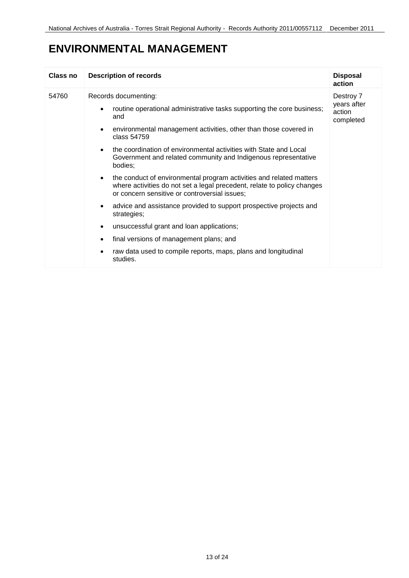## **ENVIRONMENTAL MANAGEMENT**

| <b>Class no</b> | <b>Description of records</b>                                                                                                                                                                                                                                                                                                                                                                                                                                                                                                                                                                                                                                                                                                                                                                                                                                                          | <b>Disposal</b><br>action                       |
|-----------------|----------------------------------------------------------------------------------------------------------------------------------------------------------------------------------------------------------------------------------------------------------------------------------------------------------------------------------------------------------------------------------------------------------------------------------------------------------------------------------------------------------------------------------------------------------------------------------------------------------------------------------------------------------------------------------------------------------------------------------------------------------------------------------------------------------------------------------------------------------------------------------------|-------------------------------------------------|
| 54760           | Records documenting:<br>routine operational administrative tasks supporting the core business;<br>$\bullet$<br>and<br>environmental management activities, other than those covered in<br>$\bullet$<br>class 54759<br>the coordination of environmental activities with State and Local<br>$\bullet$<br>Government and related community and Indigenous representative<br>bodies:<br>the conduct of environmental program activities and related matters<br>$\bullet$<br>where activities do not set a legal precedent, relate to policy changes<br>or concern sensitive or controversial issues;<br>advice and assistance provided to support prospective projects and<br>$\bullet$<br>strategies;<br>unsuccessful grant and loan applications;<br>$\bullet$<br>final versions of management plans; and<br>raw data used to compile reports, maps, plans and longitudinal<br>studies. | Destroy 7<br>years after<br>action<br>completed |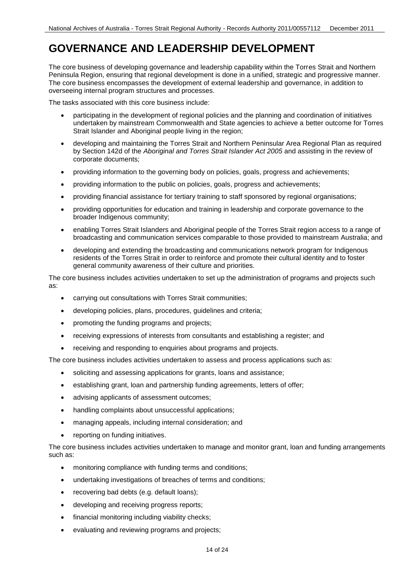### **GOVERNANCE AND LEADERSHIP DEVELOPMENT**

 overseeing internal program structures and processes. The core business of developing governance and leadership capability within the Torres Strait and Northern Peninsula Region, ensuring that regional development is done in a unified, strategic and progressive manner. The core business encompasses the development of external leadership and governance, in addition to

The tasks associated with this core business include:

- undertaken by mainstream Commonwealth and State agencies to achieve a better outcome for Torres participating in the development of regional policies and the planning and coordination of initiatives Strait Islander and Aboriginal people living in the region;
- developing and maintaining the Torres Strait and Northern Peninsular Area Regional Plan as required by Section 142d of the *Aboriginal and Torres Strait Islander Act 2005* and assisting in the review of corporate documents;
- providing information to the governing body on policies, goals, progress and achievements;
- providing information to the public on policies, goals, progress and achievements;
- providing financial assistance for tertiary training to staff sponsored by regional organisations;
- providing opportunities for education and training in leadership and corporate governance to the broader Indigenous community;
- enabling Torres Strait Islanders and Aboriginal people of the Torres Strait region access to a range of broadcasting and communication services comparable to those provided to mainstream Australia; and
- general community awareness of their culture and priorities. developing and extending the broadcasting and communications network program for Indigenous residents of the Torres Strait in order to reinforce and promote their cultural identity and to foster

The core business includes activities undertaken to set up the administration of programs and projects such as:

- carrying out consultations with Torres Strait communities;
- developing policies, plans, procedures, guidelines and criteria;
- promoting the funding programs and projects;
- receiving expressions of interests from consultants and establishing a register; and
- receiving and responding to enquiries about programs and projects.

The core business includes activities undertaken to assess and process applications such as:

- soliciting and assessing applications for grants, loans and assistance;
- establishing grant, loan and partnership funding agreements, letters of offer;
- advising applicants of assessment outcomes;
- handling complaints about unsuccessful applications;
- managing appeals, including internal consideration; and
- reporting on funding initiatives.

The core business includes activities undertaken to manage and monitor grant, loan and funding arrangements such as:

- monitoring compliance with funding terms and conditions;
- undertaking investigations of breaches of terms and conditions;
- recovering bad debts (e.g. default loans);
- developing and receiving progress reports;
- financial monitoring including viability checks;
- evaluating and reviewing programs and projects;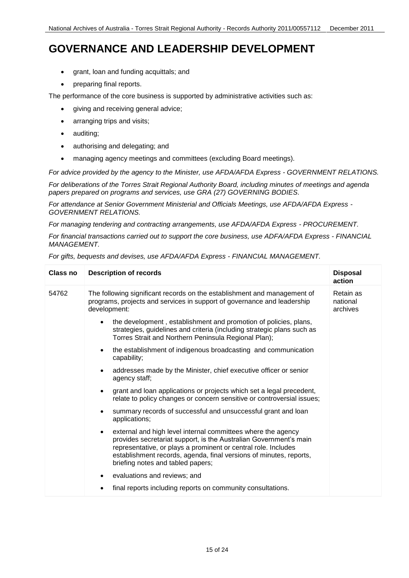#### **GOVERNANCE AND LEADERSHIP DEVELOPMENT**

- grant, loan and funding acquittals; and
- preparing final reports.

The performance of the core business is supported by administrative activities such as:

- giving and receiving general advice;
- arranging trips and visits;
- $\bullet$ auditing;
- authorising and delegating; and
- managing agency meetings and committees (excluding Board meetings).

 *For advice provided by the agency to the Minister, use AFDA/AFDA Express - GOVERNMENT RELATIONS.* 

*For deliberations of the Torres Strait Regional Authority Board, including minutes of meetings and agenda papers prepared on programs and services, use GRA (27) GOVERNING BODIES.* 

 *For attendance at Senior Government Ministerial and Officials Meetings, use AFDA/AFDA Express - GOVERNMENT RELATIONS.*

 *For managing tendering and contracting arrangements, use AFDA/AFDA Express - PROCUREMENT.*

 *For financial transactions carried out to support the core business, use ADFA/AFDA Express - FINANCIAL MANAGEMENT.*

 *For gifts, bequests and devises, use AFDA/AFDA Express - FINANCIAL MANAGEMENT.*

| Class no | <b>Description of records</b>                                                                                                                                                                                                                                                                                               | <b>Disposal</b><br>action         |
|----------|-----------------------------------------------------------------------------------------------------------------------------------------------------------------------------------------------------------------------------------------------------------------------------------------------------------------------------|-----------------------------------|
| 54762    | The following significant records on the establishment and management of<br>programs, projects and services in support of governance and leadership<br>development:                                                                                                                                                         | Retain as<br>national<br>archives |
|          | the development, establishment and promotion of policies, plans,<br>$\bullet$<br>strategies, guidelines and criteria (including strategic plans such as<br>Torres Strait and Northern Peninsula Regional Plan);                                                                                                             |                                   |
|          | the establishment of indigenous broadcasting and communication<br>$\bullet$<br>capability;                                                                                                                                                                                                                                  |                                   |
|          | addresses made by the Minister, chief executive officer or senior<br>$\bullet$<br>agency staff:                                                                                                                                                                                                                             |                                   |
|          | grant and loan applications or projects which set a legal precedent,<br>$\bullet$<br>relate to policy changes or concern sensitive or controversial issues;                                                                                                                                                                 |                                   |
|          | summary records of successful and unsuccessful grant and loan<br>$\bullet$<br>applications;                                                                                                                                                                                                                                 |                                   |
|          | external and high level internal committees where the agency<br>$\bullet$<br>provides secretariat support, is the Australian Government's main<br>representative, or plays a prominent or central role. Includes<br>establishment records, agenda, final versions of minutes, reports,<br>briefing notes and tabled papers; |                                   |
|          | evaluations and reviews; and<br>$\bullet$                                                                                                                                                                                                                                                                                   |                                   |
|          | final reports including reports on community consultations.                                                                                                                                                                                                                                                                 |                                   |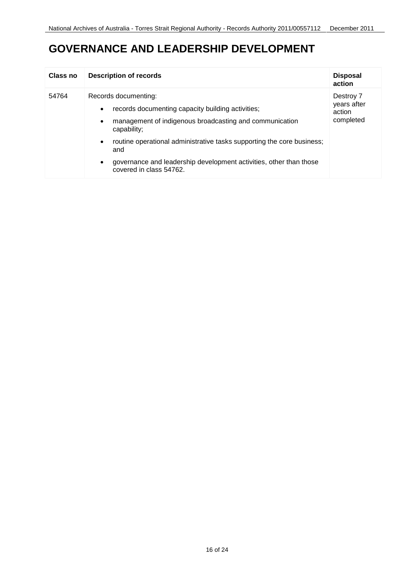#### **GOVERNANCE AND LEADERSHIP DEVELOPMENT**

| <b>Class no</b> | <b>Description of records</b>                                                                                                                                                 | <b>Disposal</b><br>action                       |
|-----------------|-------------------------------------------------------------------------------------------------------------------------------------------------------------------------------|-------------------------------------------------|
| 54764           | Records documenting:<br>records documenting capacity building activities;<br>$\bullet$<br>management of indigenous broadcasting and communication<br>$\bullet$<br>capability; | Destroy 7<br>years after<br>action<br>completed |
|                 | routine operational administrative tasks supporting the core business;<br>$\bullet$<br>and                                                                                    |                                                 |
|                 | governance and leadership development activities, other than those<br>$\bullet$<br>covered in class 54762.                                                                    |                                                 |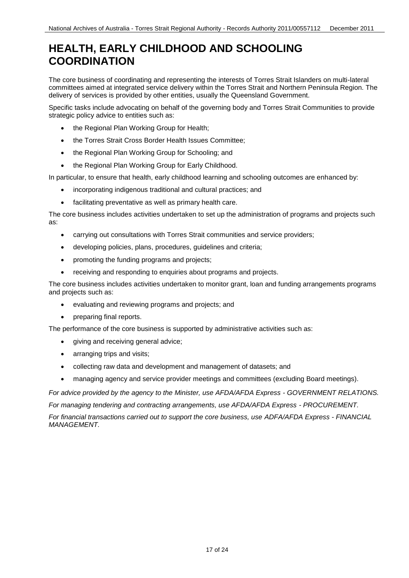#### **HEALTH, EARLY CHILDHOOD AND SCHOOLING COORDINATION**

The core business of coordinating and representing the interests of Torres Strait Islanders on multi-lateral committees aimed at integrated service delivery within the Torres Strait and Northern Peninsula Region. The delivery of services is provided by other entities, usually the Queensland Government.

Specific tasks include advocating on behalf of the governing body and Torres Strait Communities to provide strategic policy advice to entities such as:

- the Regional Plan Working Group for Health;
- the Torres Strait Cross Border Health Issues Committee:
- the Regional Plan Working Group for Schooling; and
- the Regional Plan Working Group for Early Childhood.

In particular, to ensure that health, early childhood learning and schooling outcomes are enhanced by:

- incorporating indigenous traditional and cultural practices; and
- facilitating preventative as well as primary health care.

The core business includes activities undertaken to set up the administration of programs and projects such as:

- carrying out consultations with Torres Strait communities and service providers;
- developing policies, plans, procedures, guidelines and criteria;
- promoting the funding programs and projects;
- receiving and responding to enquiries about programs and projects.

The core business includes activities undertaken to monitor grant, loan and funding arrangements programs and projects such as:

- evaluating and reviewing programs and projects; and
- preparing final reports.

The performance of the core business is supported by administrative activities such as:

- giving and receiving general advice;
- arranging trips and visits;
- collecting raw data and development and management of datasets; and
- managing agency and service provider meetings and committees (excluding Board meetings).

 *For advice provided by the agency to the Minister, use AFDA/AFDA Express - GOVERNMENT RELATIONS.*

 *For managing tendering and contracting arrangements, use AFDA/AFDA Express - PROCUREMENT.*

 *For financial transactions carried out to support the core business, use ADFA/AFDA Express - FINANCIAL MANAGEMENT.*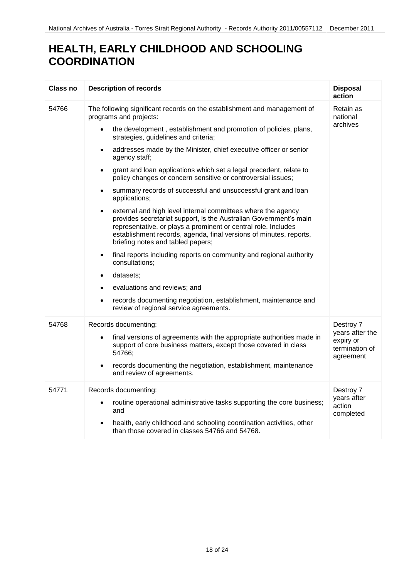## **HEALTH, EARLY CHILDHOOD AND SCHOOLING COORDINATION**

| <b>Class no</b> | <b>Description of records</b>                                                                                                                                                                                                                                                                                               | <b>Disposal</b><br>action                                   |
|-----------------|-----------------------------------------------------------------------------------------------------------------------------------------------------------------------------------------------------------------------------------------------------------------------------------------------------------------------------|-------------------------------------------------------------|
| 54766           | The following significant records on the establishment and management of<br>programs and projects:                                                                                                                                                                                                                          | Retain as<br>national                                       |
|                 | the development, establishment and promotion of policies, plans,<br>$\bullet$<br>strategies, guidelines and criteria;                                                                                                                                                                                                       | archives                                                    |
|                 | addresses made by the Minister, chief executive officer or senior<br>$\bullet$<br>agency staff;                                                                                                                                                                                                                             |                                                             |
|                 | grant and loan applications which set a legal precedent, relate to<br>$\bullet$<br>policy changes or concern sensitive or controversial issues;                                                                                                                                                                             |                                                             |
|                 | summary records of successful and unsuccessful grant and loan<br>$\bullet$<br>applications;                                                                                                                                                                                                                                 |                                                             |
|                 | external and high level internal committees where the agency<br>$\bullet$<br>provides secretariat support, is the Australian Government's main<br>representative, or plays a prominent or central role. Includes<br>establishment records, agenda, final versions of minutes, reports,<br>briefing notes and tabled papers; |                                                             |
|                 | final reports including reports on community and regional authority<br>$\bullet$<br>consultations;                                                                                                                                                                                                                          |                                                             |
|                 | datasets;                                                                                                                                                                                                                                                                                                                   |                                                             |
|                 | evaluations and reviews; and                                                                                                                                                                                                                                                                                                |                                                             |
|                 | records documenting negotiation, establishment, maintenance and<br>$\bullet$<br>review of regional service agreements.                                                                                                                                                                                                      |                                                             |
| 54768           | Records documenting:                                                                                                                                                                                                                                                                                                        | Destroy 7                                                   |
|                 | final versions of agreements with the appropriate authorities made in<br>$\bullet$<br>support of core business matters, except those covered in class<br>54766;                                                                                                                                                             | years after the<br>expiry or<br>termination of<br>agreement |
|                 | records documenting the negotiation, establishment, maintenance<br>$\bullet$<br>and review of agreements.                                                                                                                                                                                                                   |                                                             |
| 54771           | Records documenting:<br>routine operational administrative tasks supporting the core business;<br>$\bullet$<br>and<br>health, early childhood and schooling coordination activities, other                                                                                                                                  | Destroy 7<br>years after<br>action<br>completed             |
|                 | than those covered in classes 54766 and 54768.                                                                                                                                                                                                                                                                              |                                                             |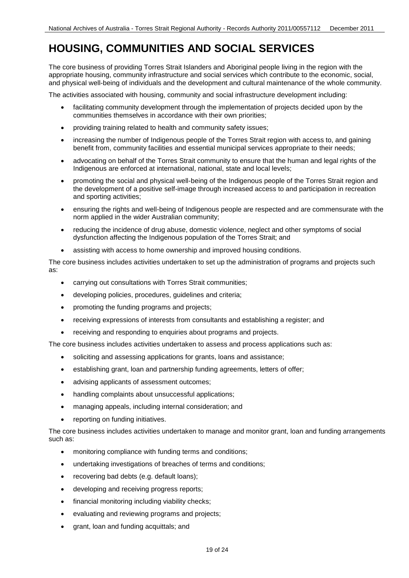## **HOUSING, COMMUNITIES AND SOCIAL SERVICES**

The core business of providing Torres Strait Islanders and Aboriginal people living in the region with the appropriate housing, community infrastructure and social services which contribute to the economic, social, and physical well-being of individuals and the development and cultural maintenance of the whole community.

The activities associated with housing, community and social infrastructure development including:

- facilitating community development through the implementation of projects decided upon by the communities themselves in accordance with their own priorities;
- providing training related to health and community safety issues;
- increasing the number of Indigenous people of the Torres Strait region with access to, and gaining benefit from, community facilities and essential municipal services appropriate to their needs;
- advocating on behalf of the Torres Strait community to ensure that the human and legal rights of the Indigenous are enforced at international, national, state and local levels;
- promoting the social and physical well-being of the Indigenous people of the Torres Strait region and the development of a positive self-image through increased access to and participation in recreation and sporting activities;
- ensuring the rights and well-being of Indigenous people are respected and are commensurate with the norm applied in the wider Australian community;
- reducing the incidence of drug abuse, domestic violence, neglect and other symptoms of social dysfunction affecting the Indigenous population of the Torres Strait; and
- $\bullet$ assisting with access to home ownership and improved housing conditions.

The core business includes activities undertaken to set up the administration of programs and projects such as:

- carrying out consultations with Torres Strait communities;
- developing policies, procedures, guidelines and criteria;
- promoting the funding programs and projects;
- receiving expressions of interests from consultants and establishing a register; and
- receiving and responding to enquiries about programs and projects.

The core business includes activities undertaken to assess and process applications such as:

- soliciting and assessing applications for grants, loans and assistance;
- establishing grant, loan and partnership funding agreements, letters of offer;
- advising applicants of assessment outcomes;
- handling complaints about unsuccessful applications;
- managing appeals, including internal consideration; and
- reporting on funding initiatives.

The core business includes activities undertaken to manage and monitor grant, loan and funding arrangements such as:

- monitoring compliance with funding terms and conditions;
- undertaking investigations of breaches of terms and conditions;
- recovering bad debts (e.g. default loans);
- **•** developing and receiving progress reports;
- financial monitoring including viability checks;
- evaluating and reviewing programs and projects;
- grant, loan and funding acquittals; and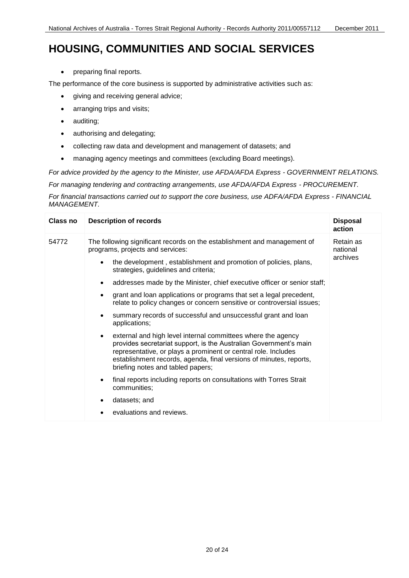#### **HOUSING, COMMUNITIES AND SOCIAL SERVICES**

• preparing final reports.

The performance of the core business is supported by administrative activities such as:

- giving and receiving general advice;
- arranging trips and visits;
- auditing;
- authorising and delegating;
- collecting raw data and development and management of datasets; and
- managing agency meetings and committees (excluding Board meetings).

 *For advice provided by the agency to the Minister, use AFDA/AFDA Express - GOVERNMENT RELATIONS.*

 *For managing tendering and contracting arrangements, use AFDA/AFDA Express - PROCUREMENT.*

 *For financial transactions carried out to support the core business, use ADFA/AFDA Express - FINANCIAL MANAGEMENT.*

| Class no | <b>Description of records</b>                                                                                                                                                                                                                                                                                                                                                                                                                                                                                                                                              | <b>Disposal</b><br>action         |
|----------|----------------------------------------------------------------------------------------------------------------------------------------------------------------------------------------------------------------------------------------------------------------------------------------------------------------------------------------------------------------------------------------------------------------------------------------------------------------------------------------------------------------------------------------------------------------------------|-----------------------------------|
| 54772    | The following significant records on the establishment and management of<br>programs, projects and services:<br>the development, establishment and promotion of policies, plans,<br>$\bullet$<br>strategies, guidelines and criteria;<br>addresses made by the Minister, chief executive officer or senior staff;<br>$\bullet$<br>grant and loan applications or programs that set a legal precedent,<br>$\bullet$<br>relate to policy changes or concern sensitive or controversial issues;<br>summary records of successful and unsuccessful grant and loan<br>$\bullet$ | Retain as<br>national<br>archives |
|          | applications;<br>external and high level internal committees where the agency<br>$\bullet$<br>provides secretariat support, is the Australian Government's main<br>representative, or plays a prominent or central role. Includes<br>establishment records, agenda, final versions of minutes, reports,<br>briefing notes and tabled papers;                                                                                                                                                                                                                               |                                   |
|          | final reports including reports on consultations with Torres Strait<br>$\bullet$<br>communities;<br>datasets; and<br>$\bullet$<br>evaluations and reviews.                                                                                                                                                                                                                                                                                                                                                                                                                 |                                   |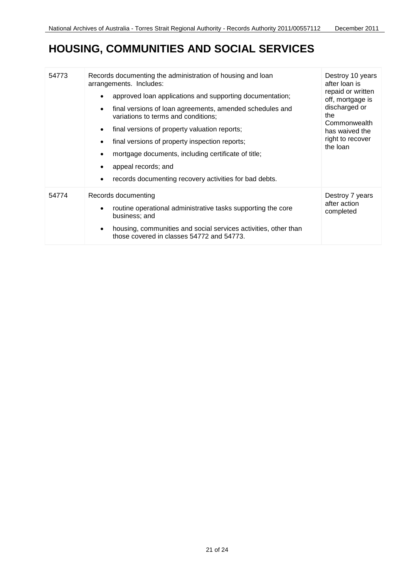# **HOUSING, COMMUNITIES AND SOCIAL SERVICES**

| 54773 | Records documenting the administration of housing and loan<br>arrangements. Includes:<br>approved loan applications and supporting documentation;<br>$\bullet$<br>final versions of loan agreements, amended schedules and<br>$\bullet$<br>variations to terms and conditions;<br>final versions of property valuation reports;<br>$\bullet$<br>final versions of property inspection reports;<br>$\bullet$<br>mortgage documents, including certificate of title;<br>appeal records; and<br>records documenting recovery activities for bad debts. | Destroy 10 years<br>after loan is<br>repaid or written<br>off, mortgage is<br>discharged or<br>the<br>Commonwealth<br>has waived the<br>right to recover<br>the loan |
|-------|-----------------------------------------------------------------------------------------------------------------------------------------------------------------------------------------------------------------------------------------------------------------------------------------------------------------------------------------------------------------------------------------------------------------------------------------------------------------------------------------------------------------------------------------------------|----------------------------------------------------------------------------------------------------------------------------------------------------------------------|
| 54774 | Records documenting<br>routine operational administrative tasks supporting the core<br>$\bullet$<br>business; and<br>housing, communities and social services activities, other than<br>$\bullet$<br>those covered in classes 54772 and 54773.                                                                                                                                                                                                                                                                                                      | Destroy 7 years<br>after action<br>completed                                                                                                                         |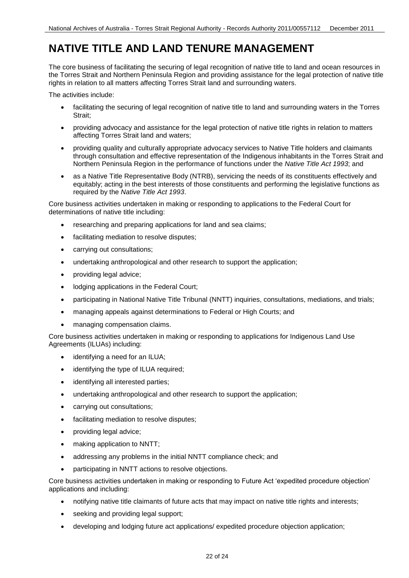### **NATIVE TITLE AND LAND TENURE MANAGEMENT**

 the Torres Strait and Northern Peninsula Region and providing assistance for the legal protection of native title rights in relation to all matters affecting Torres Strait land and surrounding waters. The core business of facilitating the securing of legal recognition of native title to land and ocean resources in

The activities include:

- facilitating the securing of legal recognition of native title to land and surrounding waters in the Torres Strait;
- providing advocacy and assistance for the legal protection of native title rights in relation to matters affecting Torres Strait land and waters;
- providing quality and culturally appropriate advocacy services to Native Title holders and claimants through consultation and effective representation of the Indigenous inhabitants in the Torres Strait and Northern Peninsula Region in the performance of functions under the *Native Title Act 1993*; and
- equitably; acting in the best interests of those constituents and performing the legislative functions as as a Native Title Representative Body (NTRB), servicing the needs of its constituents effectively and required by the *Native Title Act 1993*.

Core business activities undertaken in making or responding to applications to the Federal Court for determinations of native title including:

- researching and preparing applications for land and sea claims;
- facilitating mediation to resolve disputes;
- carrying out consultations;
- undertaking anthropological and other research to support the application;
- providing legal advice;
- lodging applications in the Federal Court;
- participating in National Native Title Tribunal (NNTT) inquiries, consultations, mediations, and trials;
- managing appeals against determinations to Federal or High Courts; and
- managing compensation claims.

Core business activities undertaken in making or responding to applications for Indigenous Land Use Agreements (ILUAs) including:

- identifying a need for an ILUA;
- identifying the type of ILUA required;
- identifying all interested parties;
- undertaking anthropological and other research to support the application;
- carrying out consultations;
- facilitating mediation to resolve disputes;
- providing legal advice;
- making application to NNTT;
- addressing any problems in the initial NNTT compliance check; and
- participating in NNTT actions to resolve objections.

Core business activities undertaken in making or responding to Future Act 'expedited procedure objection' applications and including:

- notifying native title claimants of future acts that may impact on native title rights and interests;
- seeking and providing legal support;
- developing and lodging future act applications/ expedited procedure objection application;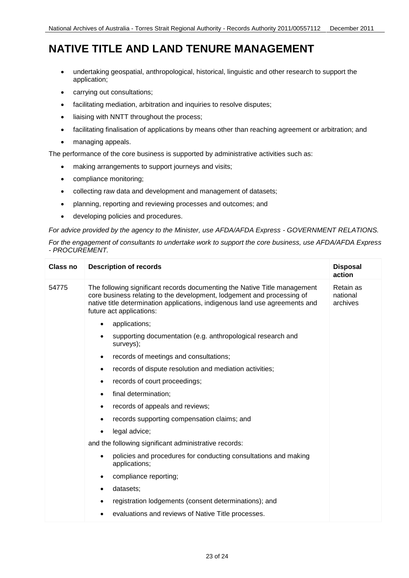### **NATIVE TITLE AND LAND TENURE MANAGEMENT**

- undertaking geospatial, anthropological, historical, linguistic and other research to support the application;
- carrying out consultations;
- facilitating mediation, arbitration and inquiries to resolve disputes;
- liaising with NNTT throughout the process;
- facilitating finalisation of applications by means other than reaching agreement or arbitration; and
- managing appeals.

The performance of the core business is supported by administrative activities such as:

- making arrangements to support journeys and visits;
- compliance monitoring;
- collecting raw data and development and management of datasets;
- planning, reporting and reviewing processes and outcomes; and
- developing policies and procedures.

 *For advice provided by the agency to the Minister, use AFDA/AFDA Express - GOVERNMENT RELATIONS.* 

 *For the engagement of consultants to undertake work to support the core business, use AFDA/AFDA Express - PROCUREMENT.* 

| Class no | <b>Description of records</b>                                                                                                                                                                                                                                  | <b>Disposal</b><br>action         |
|----------|----------------------------------------------------------------------------------------------------------------------------------------------------------------------------------------------------------------------------------------------------------------|-----------------------------------|
| 54775    | The following significant records documenting the Native Title management<br>core business relating to the development, lodgement and processing of<br>native title determination applications, indigenous land use agreements and<br>future act applications: | Retain as<br>national<br>archives |
|          | applications;<br>$\bullet$                                                                                                                                                                                                                                     |                                   |
|          | supporting documentation (e.g. anthropological research and<br>$\bullet$<br>surveys);                                                                                                                                                                          |                                   |
|          | records of meetings and consultations;<br>$\bullet$                                                                                                                                                                                                            |                                   |
|          | records of dispute resolution and mediation activities;<br>٠                                                                                                                                                                                                   |                                   |
|          | records of court proceedings;<br>$\bullet$                                                                                                                                                                                                                     |                                   |
|          | final determination;<br>$\bullet$                                                                                                                                                                                                                              |                                   |
|          | records of appeals and reviews;<br>$\bullet$                                                                                                                                                                                                                   |                                   |
|          | records supporting compensation claims; and                                                                                                                                                                                                                    |                                   |
|          | legal advice;<br>$\bullet$                                                                                                                                                                                                                                     |                                   |
|          | and the following significant administrative records:                                                                                                                                                                                                          |                                   |
|          | policies and procedures for conducting consultations and making<br>$\bullet$<br>applications;                                                                                                                                                                  |                                   |
|          | compliance reporting;<br>٠                                                                                                                                                                                                                                     |                                   |
|          | datasets;<br>٠                                                                                                                                                                                                                                                 |                                   |
|          | registration lodgements (consent determinations); and<br>$\bullet$                                                                                                                                                                                             |                                   |
|          | evaluations and reviews of Native Title processes.                                                                                                                                                                                                             |                                   |